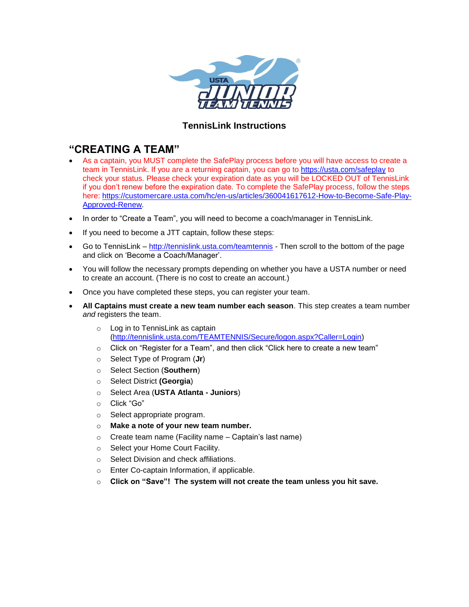

## **TennisLink Instructions**

## **"CREATING A TEAM"**

- As a captain, you MUST complete the SafePlay process before you will have access to create a team in TennisLink. If you are a returning captain, you can go to<https://usta.com/safeplay> to check your status. Please check your expiration date as you will be LOCKED OUT of TennisLink if you don't renew before the expiration date. To complete the SafePlay process, follow the steps here: [https://customercare.usta.com/hc/en-us/articles/360041617612-How-to-Become-Safe-Play-](https://customercare.usta.com/hc/en-us/articles/360041617612-How-to-Become-Safe-Play-Approved-Renew)[Approved-Renew.](https://customercare.usta.com/hc/en-us/articles/360041617612-How-to-Become-Safe-Play-Approved-Renew)
- In order to "Create a Team", you will need to become a coach/manager in TennisLink.
- If you need to become a JTT captain, follow these steps:
- Go to TennisLink <http://tennislink.usta.com/teamtennis> Then scroll to the bottom of the page and click on 'Become a Coach/Manager'.
- You will follow the necessary prompts depending on whether you have a USTA number or need to create an account. (There is no cost to create an account.)
- Once you have completed these steps, you can register your team.
- **All Captains must create a new team number each season**. This step creates a team number *and* registers the team.
	- o Log in to TennisLink as captain [\(http://tennislink.usta.com/TEAMTENNIS/Secure/logon.aspx?Caller=Login\)](http://tennislink.usta.com/TEAMTENNIS/Secure/logon.aspx?Caller=Login)
	- o Click on "Register for a Team", and then click "Click here to create a new team"
	- o Select Type of Program (**Jr**)
	- o Select Section (**Southern**)
	- o Select District **(Georgia**)
	- o Select Area (**USTA Atlanta - Juniors**)
	- o Click "Go"
	- o Select appropriate program.
	- o **Make a note of your new team number.**
	- $\circ$  Create team name (Facility name Captain's last name)
	- o Select your Home Court Facility.
	- o Select Division and check affiliations.
	- o Enter Co-captain Information, if applicable.
	- o **Click on "Save"! The system will not create the team unless you hit save.**